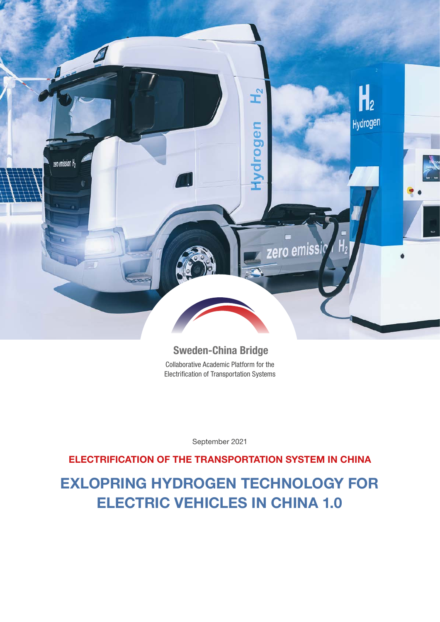

## Sweden-China Bridge

Collaborative Academic Platform for the Electrification of Transportation Systems

September 2021

## ELECTRIFICATION OF THE TRANSPORTATION SYSTEM IN CHINA

**EXLOPRING HYDROGEN TECHNOLOGY FOR ELECTRIC VEHICLES IN CHINA 1.0**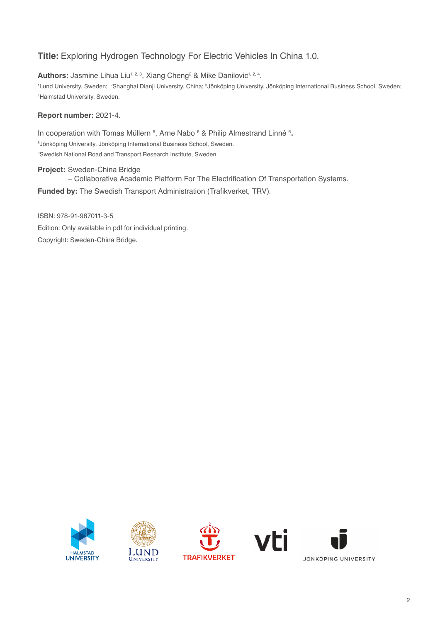## **Title:** Exploring Hydrogen Technology For Electric Vehicles In China 1.0.

**Authors:** Jasmine Lihua Liu<sup>1, 2, 3</sup>, Xiang Cheng<sup>2</sup> & Mike Danilovic<sup>1, 2, 4</sup>.

<sup>1</sup>Lund University, Sweden; <sup>2</sup>Shanghai Dianji University, China; <sup>3</sup>Jönköping University, Jönköping International Business School, Sweden; 4 Halmstad University, Sweden.

### **Report number:** 2021-4.

In cooperation with Tomas Müllern <sup>5</sup>, Arne Nåbo <sup>6</sup> & Philip Almestrand Linné <sup>6</sup>. 5Jönköping University, Jönköping International Business School, Sweden. 6Swedish National Road and Transport Research Institute, Sweden.

**Project:** Sweden-China Bridge – Collaborative Academic Platform For The Electrification Of Transportation Systems. **Funded by:** The Swedish Transport Administration (Trafikverket, TRV).

ISBN: 978-91-987011-3-5 Edition: Only available in pdf for individual printing. Copyright: Sweden-China Bridge.







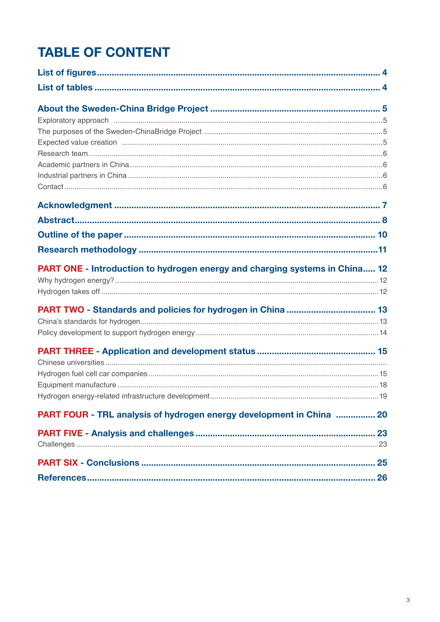# **TABLE OF CONTENT**

| <b>PART ONE - Introduction to hydrogen energy and charging systems in China 12</b> |  |
|------------------------------------------------------------------------------------|--|
|                                                                                    |  |
|                                                                                    |  |
|                                                                                    |  |
|                                                                                    |  |
|                                                                                    |  |
|                                                                                    |  |
|                                                                                    |  |
|                                                                                    |  |
|                                                                                    |  |
|                                                                                    |  |
| PART FOUR - TRL analysis of hydrogen energy development in China  20               |  |
|                                                                                    |  |
|                                                                                    |  |
|                                                                                    |  |
|                                                                                    |  |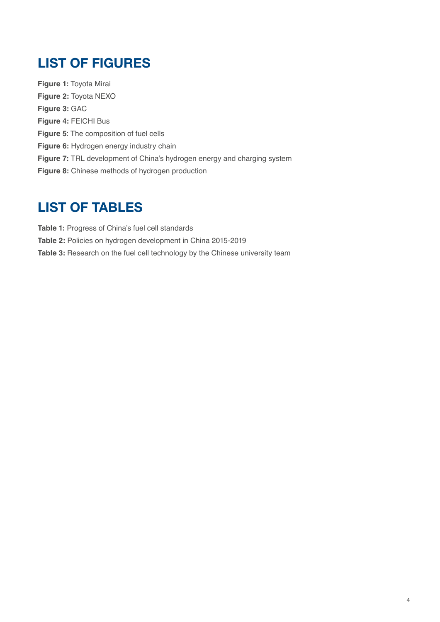## <span id="page-3-0"></span>LIST OF FIGURES

**Figure 1:** Toyota Mirai **Figure 2:** Toyota NEXO **Figure 3:** GAC **Figure 4:** FEICHI Bus **Figure 5**: The composition of fuel cells **Figure 6:** Hydrogen energy industry chain **Figure 7:** TRL development of China's hydrogen energy and charging system **Figure 8:** Chinese methods of hydrogen production

## LIST OF TABLES

**Table 1:** Progress of China's fuel cell standards **Table 2:** Policies on hydrogen development in China 2015-2019 **Table 3:** Research on the fuel cell technology by the Chinese university team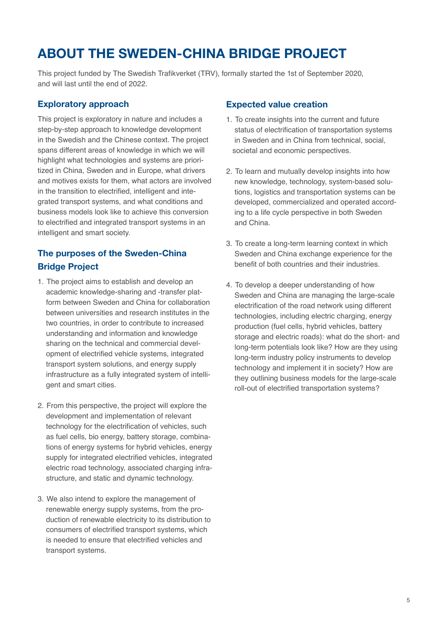## <span id="page-4-0"></span>ABOUT THE SWEDEN-CHINA BRIDGE PROJECT

This project funded by The Swedish Trafikverket (TRV), formally started the 1st of September 2020, and will last until the end of 2022.

## Exploratory approach

This project is exploratory in nature and includes a step-by-step approach to knowledge development in the Swedish and the Chinese context. The project spans different areas of knowledge in which we will highlight what technologies and systems are prioritized in China, Sweden and in Europe, what drivers and motives exists for them, what actors are involved in the transition to electrified, intelligent and integrated transport systems, and what conditions and business models look like to achieve this conversion to electrified and integrated transport systems in an intelligent and smart society.

## The purposes of the Sweden-China Bridge Project

- 1. The project aims to establish and develop an academic knowledge-sharing and -transfer platform between Sweden and China for collaboration between universities and research institutes in the two countries, in order to contribute to increased understanding and information and knowledge sharing on the technical and commercial development of electrified vehicle systems, integrated transport system solutions, and energy supply infrastructure as a fully integrated system of intelligent and smart cities.
- 2. From this perspective, the project will explore the development and implementation of relevant technology for the electrification of vehicles, such as fuel cells, bio energy, battery storage, combinations of energy systems for hybrid vehicles, energy supply for integrated electrified vehicles, integrated electric road technology, associated charging infrastructure, and static and dynamic technology.
- 3. We also intend to explore the management of renewable energy supply systems, from the production of renewable electricity to its distribution to consumers of electrified transport systems, which is needed to ensure that electrified vehicles and transport systems.

### Expected value creation

- 1. To create insights into the current and future status of electrification of transportation systems in Sweden and in China from technical, social, societal and economic perspectives.
- 2. To learn and mutually develop insights into how new knowledge, technology, system-based solutions, logistics and transportation systems can be developed, commercialized and operated according to a life cycle perspective in both Sweden and China.
- 3. To create a long-term learning context in which Sweden and China exchange experience for the benefit of both countries and their industries.
- 4. To develop a deeper understanding of how Sweden and China are managing the large-scale electrification of the road network using different technologies, including electric charging, energy production (fuel cells, hybrid vehicles, battery storage and electric roads): what do the short- and long-term potentials look like? How are they using long-term industry policy instruments to develop technology and implement it in society? How are they outlining business models for the large-scale roll-out of electrified transportation systems?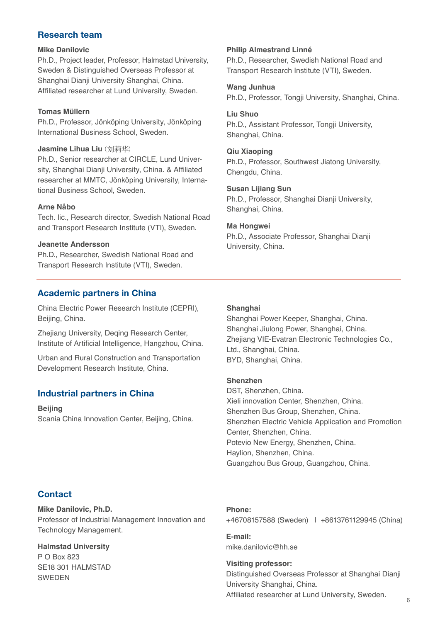## <span id="page-5-0"></span>Research team

#### **Mike Danilovic**

Ph.D., Project leader, Professor, Halmstad University, Sweden & Distinguished Overseas Professor at Shanghai Dianji University Shanghai, China. Affiliated researcher at Lund University, Sweden.

### **Tomas Müllern**

Ph.D., Professor, Jönköping University, Jönköping International Business School, Sweden.

#### **Jasmine Lihua Liu** (刘莉华)

Ph.D., Senior researcher at CIRCLE, Lund University, Shanghai Dianji University, China. & Affiliated researcher at MMTC, Jönköping University, International Business School, Sweden.

### **Arne Nåbo**

Tech. lic., Research director, Swedish National Road and Transport Research Institute (VTI), Sweden.

### **Jeanette Andersson**

Ph.D., Researcher, Swedish National Road and Transport Research Institute (VTI), Sweden.

## Academic partners in China

China Electric Power Research Institute (CEPRI), Beijing, China.

Zhejiang University, Deqing Research Center, Institute of Artificial Intelligence, Hangzhou, China.

Urban and Rural Construction and Transportation Development Research Institute, China.

## Industrial partners in China

**Beijing** Scania China Innovation Center, Beijing, China.

### **Philip Almestrand Linné**

Ph.D., Researcher, Swedish National Road and Transport Research Institute (VTI), Sweden.

### **Wang Junhua**

Ph.D., Professor, Tongji University, Shanghai, China.

#### **Liu Shuo**

Ph.D., Assistant Professor, Tongji University, Shanghai, China.

#### **Qiu Xiaoping**

Ph.D., Professor, Southwest Jiatong University, Chengdu, China.

### **Susan Lijiang Sun**

Ph.D., Professor, Shanghai Dianji University, Shanghai, China.

### **Ma Hongwei**

Ph.D., Associate Professor, Shanghai Dianji University, China.

### **Shanghai**

Shanghai Power Keeper, Shanghai, China. Shanghai Jiulong Power, Shanghai, China. Zhejiang VIE-Evatran Electronic Technologies Co., Ltd., Shanghai, China. BYD, Shanghai, China.

#### **Shenzhen**

DST, Shenzhen, China. Xieli innovation Center, Shenzhen, China. Shenzhen Bus Group, Shenzhen, China. Shenzhen Electric Vehicle Application and Promotion Center, Shenzhen, China. Potevio New Energy, Shenzhen, China. Haylion, Shenzhen, China. Guangzhou Bus Group, Guangzhou, China.

## **Contact**

**Mike Danilovic, Ph.D.** Professor of Industrial Management Innovation and Technology Management.

#### **Halmstad University** P O Box 823

SE18 301 HALMSTAD SWEDEN

#### **Phone:**

+46708157588 (Sweden) | +8613761129945 (China)

**E-mail:**  mike.danilovic@hh.se

#### **Visiting professor:**

Distinguished Overseas Professor at Shanghai Dianji University Shanghai, China. Affiliated researcher at Lund University, Sweden.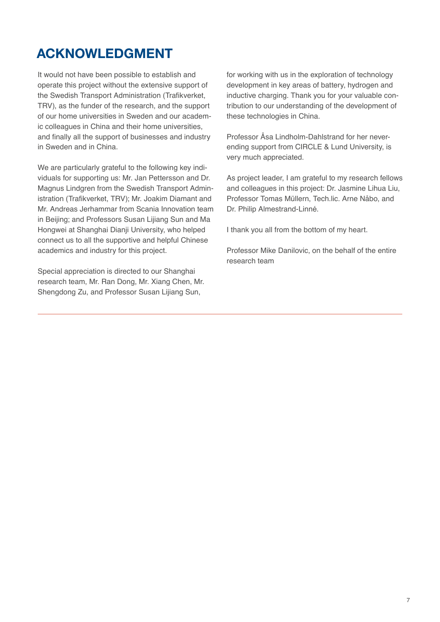## <span id="page-6-0"></span>ACKNOWLEDGMENT

It would not have been possible to establish and operate this project without the extensive support of the Swedish Transport Administration (Trafikverket, TRV), as the funder of the research, and the support of our home universities in Sweden and our academic colleagues in China and their home universities, and finally all the support of businesses and industry in Sweden and in China.

We are particularly grateful to the following key individuals for supporting us: Mr. Jan Pettersson and Dr. Magnus Lindgren from the Swedish Transport Administration (Trafikverket, TRV); Mr. Joakim Diamant and Mr. Andreas Jerhammar from Scania Innovation team in Beijing; and Professors Susan Lijiang Sun and Ma Hongwei at Shanghai Dianji University, who helped connect us to all the supportive and helpful Chinese academics and industry for this project.

Special appreciation is directed to our Shanghai research team, Mr. Ran Dong, Mr. Xiang Chen, Mr. Shengdong Zu, and Professor Susan Lijiang Sun,

for working with us in the exploration of technology development in key areas of battery, hydrogen and inductive charging. Thank you for your valuable contribution to our understanding of the development of these technologies in China.

Professor Åsa Lindholm-Dahlstrand for her neverending support from CIRCLE & Lund University, is very much appreciated.

As project leader, I am grateful to my research fellows and colleagues in this project: Dr. Jasmine Lihua Liu, Professor Tomas Müllern, Tech.lic. Arne Nåbo, and Dr. Philip Almestrand-Linné.

I thank you all from the bottom of my heart.

Professor Mike Danilovic, on the behalf of the entire research team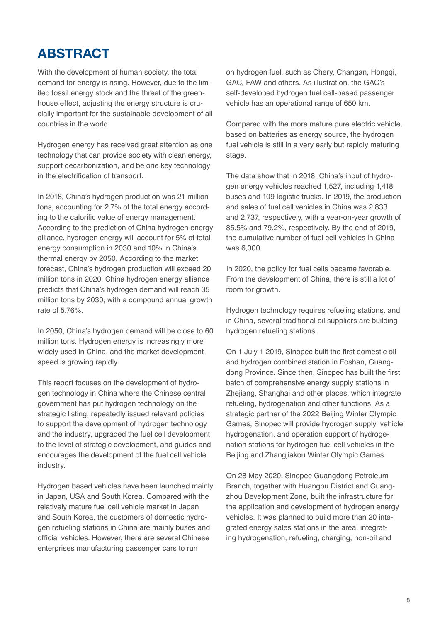## <span id="page-7-0"></span>ABSTRACT

With the development of human society, the total demand for energy is rising. However, due to the limited fossil energy stock and the threat of the greenhouse effect, adjusting the energy structure is crucially important for the sustainable development of all countries in the world.

Hydrogen energy has received great attention as one technology that can provide society with clean energy, support decarbonization, and be one key technology in the electrification of transport.

In 2018, China's hydrogen production was 21 million tons, accounting for 2.7% of the total energy according to the calorific value of energy management. According to the prediction of China hydrogen energy alliance, hydrogen energy will account for 5% of total energy consumption in 2030 and 10% in China's thermal energy by 2050. According to the market forecast, China's hydrogen production will exceed 20 million tons in 2020. China hydrogen energy alliance predicts that China's hydrogen demand will reach 35 million tons by 2030, with a compound annual growth rate of 5.76%.

In 2050, China's hydrogen demand will be close to 60 million tons. Hydrogen energy is increasingly more widely used in China, and the market development speed is growing rapidly.

This report focuses on the development of hydrogen technology in China where the Chinese central government has put hydrogen technology on the strategic listing, repeatedly issued relevant policies to support the development of hydrogen technology and the industry, upgraded the fuel cell development to the level of strategic development, and guides and encourages the development of the fuel cell vehicle industry.

Hydrogen based vehicles have been launched mainly in Japan, USA and South Korea. Compared with the relatively mature fuel cell vehicle market in Japan and South Korea, the customers of domestic hydrogen refueling stations in China are mainly buses and official vehicles. However, there are several Chinese enterprises manufacturing passenger cars to run

on hydrogen fuel, such as Chery, Changan, Hongqi, GAC, FAW and others. As illustration, the GAC's self-developed hydrogen fuel cell-based passenger vehicle has an operational range of 650 km.

Compared with the more mature pure electric vehicle, based on batteries as energy source, the hydrogen fuel vehicle is still in a very early but rapidly maturing stage.

The data show that in 2018, China's input of hydrogen energy vehicles reached 1,527, including 1,418 buses and 109 logistic trucks. In 2019, the production and sales of fuel cell vehicles in China was 2,833 and 2,737, respectively, with a year-on-year growth of 85.5% and 79.2%, respectively. By the end of 2019, the cumulative number of fuel cell vehicles in China was 6,000.

In 2020, the policy for fuel cells became favorable. From the development of China, there is still a lot of room for growth.

Hydrogen technology requires refueling stations, and in China, several traditional oil suppliers are building hydrogen refueling stations.

On 1 July 1 2019, Sinopec built the first domestic oil and hydrogen combined station in Foshan, Guangdong Province. Since then, Sinopec has built the first batch of comprehensive energy supply stations in Zheijang, Shanghai and other places, which integrate refueling, hydrogenation and other functions. As a strategic partner of the 2022 Beijing Winter Olympic Games, Sinopec will provide hydrogen supply, vehicle hydrogenation, and operation support of hydrogenation stations for hydrogen fuel cell vehicles in the Beijing and Zhangjiakou Winter Olympic Games.

On 28 May 2020, Sinopec Guangdong Petroleum Branch, together with Huangpu District and Guangzhou Development Zone, built the infrastructure for the application and development of hydrogen energy vehicles. It was planned to build more than 20 integrated energy sales stations in the area, integrating hydrogenation, refueling, charging, non-oil and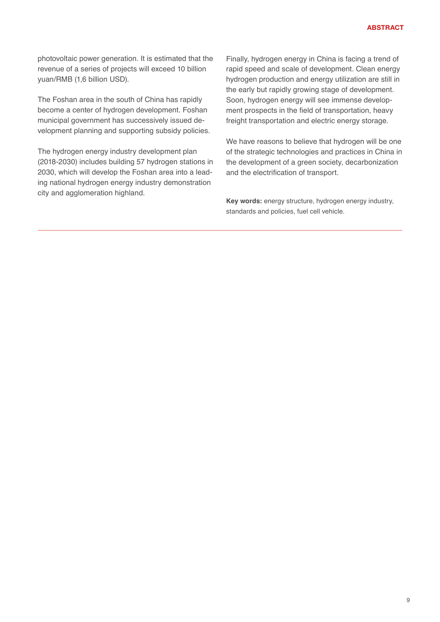photovoltaic power generation. It is estimated that the revenue of a series of projects will exceed 10 billion yuan/RMB (1,6 billion USD).

The Foshan area in the south of China has rapidly become a center of hydrogen development. Foshan municipal government has successively issued development planning and supporting subsidy policies.

The hydrogen energy industry development plan (2018-2030) includes building 57 hydrogen stations in 2030, which will develop the Foshan area into a leading national hydrogen energy industry demonstration city and agglomeration highland.

Finally, hydrogen energy in China is facing a trend of rapid speed and scale of development. Clean energy hydrogen production and energy utilization are still in the early but rapidly growing stage of development. Soon, hydrogen energy will see immense development prospects in the field of transportation, heavy freight transportation and electric energy storage.

We have reasons to believe that hydrogen will be one of the strategic technologies and practices in China in the development of a green society, decarbonization and the electrification of transport.

**Key words:** energy structure, hydrogen energy industry, standards and policies, fuel cell vehicle.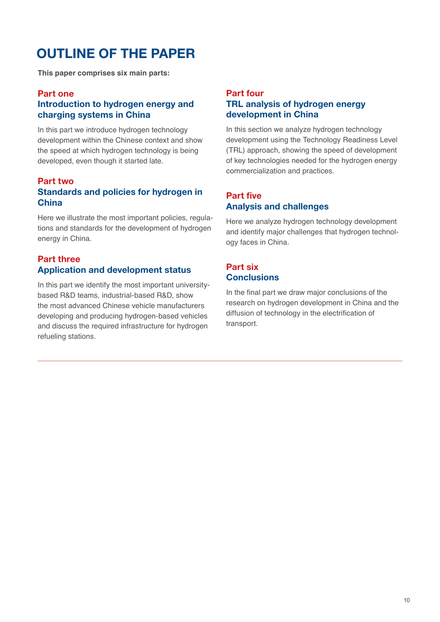## <span id="page-9-0"></span>OUTLINE OF THE PAPER

**This paper comprises six main parts:**

### Part one

## Introduction to hydrogen energy and charging systems in China

In this part we introduce hydrogen technology development within the Chinese context and show the speed at which hydrogen technology is being developed, even though it started late.

## Part two Standards and policies for hydrogen in **China**

Here we illustrate the most important policies, regulations and standards for the development of hydrogen energy in China.

## Part three Application and development status

In this part we identify the most important universitybased R&D teams, industrial-based R&D, show the most advanced Chinese vehicle manufacturers developing and producing hydrogen-based vehicles and discuss the required infrastructure for hydrogen refueling stations.

## Part four TRL analysis of hydrogen energy development in China

In this section we analyze hydrogen technology development using the Technology Readiness Level (TRL) approach, showing the speed of development of key technologies needed for the hydrogen energy commercialization and practices.

## Part five Analysis and challenges

Here we analyze hydrogen technology development and identify major challenges that hydrogen technology faces in China.

## Part six **Conclusions**

In the final part we draw major conclusions of the research on hydrogen development in China and the diffusion of technology in the electrification of transport.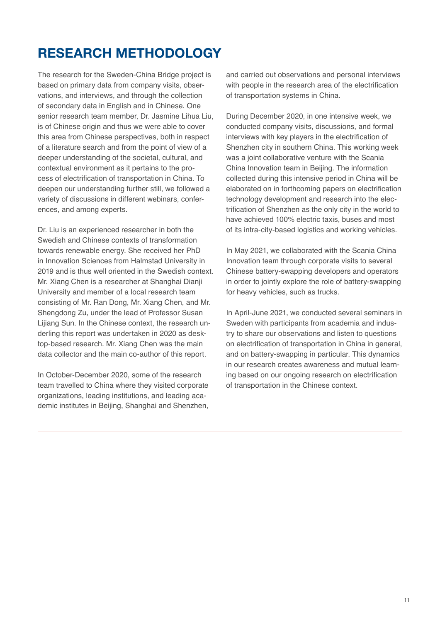## <span id="page-10-0"></span>RESEARCH METHODOLOGY

The research for the Sweden-China Bridge project is based on primary data from company visits, observations, and interviews, and through the collection of secondary data in English and in Chinese. One senior research team member, Dr. Jasmine Lihua Liu, is of Chinese origin and thus we were able to cover this area from Chinese perspectives, both in respect of a literature search and from the point of view of a deeper understanding of the societal, cultural, and contextual environment as it pertains to the process of electrification of transportation in China. To deepen our understanding further still, we followed a variety of discussions in different webinars, conferences, and among experts.

Dr. Liu is an experienced researcher in both the Swedish and Chinese contexts of transformation towards renewable energy. She received her PhD in Innovation Sciences from Halmstad University in 2019 and is thus well oriented in the Swedish context. Mr. Xiang Chen is a researcher at Shanghai Dianji University and member of a local research team consisting of Mr. Ran Dong, Mr. Xiang Chen, and Mr. Shengdong Zu, under the lead of Professor Susan Lijiang Sun. In the Chinese context, the research underling this report was undertaken in 2020 as desktop-based research. Mr. Xiang Chen was the main data collector and the main co-author of this report.

In October-December 2020, some of the research team travelled to China where they visited corporate organizations, leading institutions, and leading academic institutes in Beijing, Shanghai and Shenzhen,

and carried out observations and personal interviews with people in the research area of the electrification of transportation systems in China.

During December 2020, in one intensive week, we conducted company visits, discussions, and formal interviews with key players in the electrification of Shenzhen city in southern China. This working week was a joint collaborative venture with the Scania China Innovation team in Beijing. The information collected during this intensive period in China will be elaborated on in forthcoming papers on electrification technology development and research into the electrification of Shenzhen as the only city in the world to have achieved 100% electric taxis, buses and most of its intra-city-based logistics and working vehicles.

In May 2021, we collaborated with the Scania China Innovation team through corporate visits to several Chinese battery-swapping developers and operators in order to jointly explore the role of battery-swapping for heavy vehicles, such as trucks.

In April-June 2021, we conducted several seminars in Sweden with participants from academia and industry to share our observations and listen to questions on electrification of transportation in China in general, and on battery-swapping in particular. This dynamics in our research creates awareness and mutual learning based on our ongoing research on electrification of transportation in the Chinese context.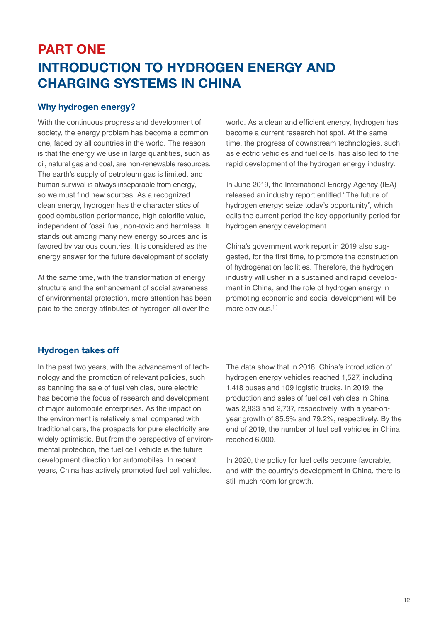## <span id="page-11-0"></span>PART ONE INTRODUCTION TO HYDROGEN ENERGY AND CHARGING SYSTEMS IN CHINA

## Why hydrogen energy?

With the continuous progress and development of society, the energy problem has become a common one, faced by all countries in the world. The reason is that the energy we use in large quantities, such as oil, natural gas and coal, are non-renewable resources. The earth's supply of petroleum gas is limited, and human survival is always inseparable from energy, so we must find new sources. As a recognized clean energy, hydrogen has the characteristics of good combustion performance, high calorific value, independent of fossil fuel, non-toxic and harmless. It stands out among many new energy sources and is favored by various countries. It is considered as the energy answer for the future development of society.

At the same time, with the transformation of energy structure and the enhancement of social awareness of environmental protection, more attention has been paid to the energy attributes of hydrogen all over the

world. As a clean and efficient energy, hydrogen has become a current research hot spot. At the same time, the progress of downstream technologies, such as electric vehicles and fuel cells, has also led to the rapid development of the hydrogen energy industry.

In June 2019, the International Energy Agency (IEA) released an industry report entitled "The future of hydrogen energy: seize today's opportunity", which calls the current period the key opportunity period for hydrogen energy development.

China's government work report in 2019 also suggested, for the first time, to promote the construction of hydrogenation facilities. Therefore, the hydrogen industry will usher in a sustained and rapid development in China, and the role of hydrogen energy in promoting economic and social development will be more obvious.<sup>[1]</sup>

## Hydrogen takes off

In the past two years, with the advancement of technology and the promotion of relevant policies, such as banning the sale of fuel vehicles, pure electric has become the focus of research and development of major automobile enterprises. As the impact on the environment is relatively small compared with traditional cars, the prospects for pure electricity are widely optimistic. But from the perspective of environmental protection, the fuel cell vehicle is the future development direction for automobiles. In recent years, China has actively promoted fuel cell vehicles.

The data show that in 2018, China's introduction of hydrogen energy vehicles reached 1,527, including 1,418 buses and 109 logistic trucks. In 2019, the production and sales of fuel cell vehicles in China was 2,833 and 2,737, respectively, with a year-onyear growth of 85.5% and 79.2%, respectively. By the end of 2019, the number of fuel cell vehicles in China reached 6,000.

In 2020, the policy for fuel cells become favorable, and with the country's development in China, there is still much room for growth.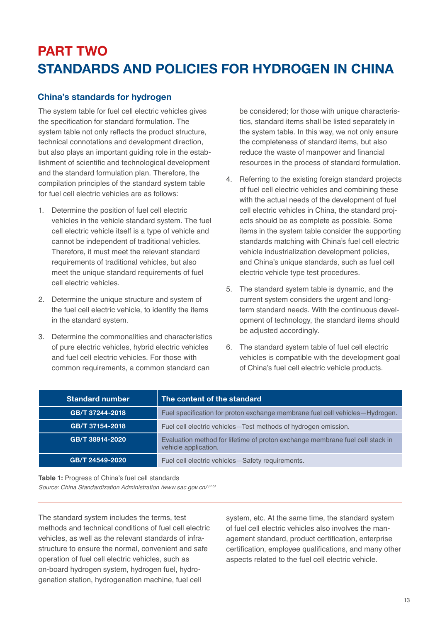# <span id="page-12-0"></span>PART TWO STANDARDS AND POLICIES FOR HYDROGEN IN CHINA

## China's standards for hydrogen

The system table for fuel cell electric vehicles gives the specification for standard formulation. The system table not only reflects the product structure, technical connotations and development direction, but also plays an important guiding role in the establishment of scientific and technological development and the standard formulation plan. Therefore, the compilation principles of the standard system table for fuel cell electric vehicles are as follows:

- 1. Determine the position of fuel cell electric vehicles in the vehicle standard system. The fuel cell electric vehicle itself is a type of vehicle and cannot be independent of traditional vehicles. Therefore, it must meet the relevant standard requirements of traditional vehicles, but also meet the unique standard requirements of fuel cell electric vehicles.
- 2. Determine the unique structure and system of the fuel cell electric vehicle, to identify the items in the standard system.
- 3. Determine the commonalities and characteristics of pure electric vehicles, hybrid electric vehicles and fuel cell electric vehicles. For those with common requirements, a common standard can

be considered; for those with unique characteristics, standard items shall be listed separately in the system table. In this way, we not only ensure the completeness of standard items, but also reduce the waste of manpower and financial resources in the process of standard formulation.

- 4. Referring to the existing foreign standard projects of fuel cell electric vehicles and combining these with the actual needs of the development of fuel cell electric vehicles in China, the standard projects should be as complete as possible. Some items in the system table consider the supporting standards matching with China's fuel cell electric vehicle industrialization development policies, and China's unique standards, such as fuel cell electric vehicle type test procedures.
- 5. The standard system table is dynamic, and the current system considers the urgent and longterm standard needs. With the continuous development of technology, the standard items should be adjusted accordingly.
- 6. The standard system table of fuel cell electric vehicles is compatible with the development goal of China's fuel cell electric vehicle products.

| <b>Standard number</b> | The content of the standard                                                                           |
|------------------------|-------------------------------------------------------------------------------------------------------|
| GB/T 37244-2018        | Fuel specification for proton exchange membrane fuel cell vehicles-Hydrogen.                          |
| GB/T 37154-2018        | Fuel cell electric vehicles-Test methods of hydrogen emission.                                        |
| GB/T 38914-2020        | Evaluation method for lifetime of proton exchange membrane fuel cell stack in<br>vehicle application. |
| GB/T 24549-2020        | Fuel cell electric vehicles-Safety requirements.                                                      |

**Table 1:** Progress of China's fuel cell standards *Source: China Standardization Administration /www.sac.gov.cn/ [2-5]*

The standard system includes the terms, test methods and technical conditions of fuel cell electric vehicles, as well as the relevant standards of infrastructure to ensure the normal, convenient and safe operation of fuel cell electric vehicles, such as on-board hydrogen system, hydrogen fuel, hydrogenation station, hydrogenation machine, fuel cell

system, etc. At the same time, the standard system of fuel cell electric vehicles also involves the management standard, product certification, enterprise certification, employee qualifications, and many other aspects related to the fuel cell electric vehicle.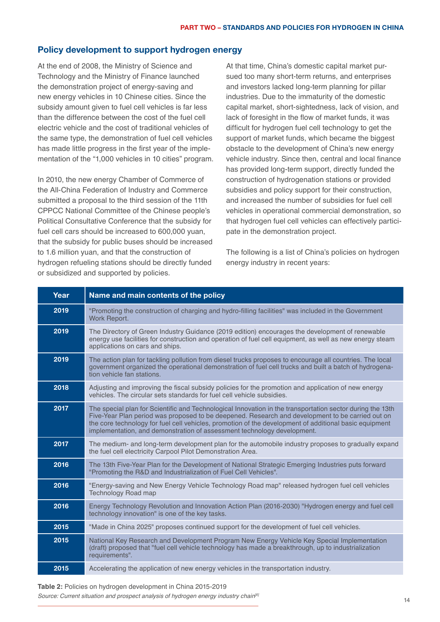### <span id="page-13-0"></span>Policy development to support hydrogen energy

At the end of 2008, the Ministry of Science and Technology and the Ministry of Finance launched the demonstration project of energy-saving and new energy vehicles in 10 Chinese cities. Since the subsidy amount given to fuel cell vehicles is far less than the difference between the cost of the fuel cell electric vehicle and the cost of traditional vehicles of the same type, the demonstration of fuel cell vehicles has made little progress in the first year of the implementation of the "1,000 vehicles in 10 cities" program.

In 2010, the new energy Chamber of Commerce of the All-China Federation of Industry and Commerce submitted a proposal to the third session of the 11th CPPCC National Committee of the Chinese people's Political Consultative Conference that the subsidy for fuel cell cars should be increased to 600,000 yuan, that the subsidy for public buses should be increased to 1.6 million yuan, and that the construction of hydrogen refueling stations should be directly funded or subsidized and supported by policies.

At that time, China's domestic capital market pursued too many short-term returns, and enterprises and investors lacked long-term planning for pillar industries. Due to the immaturity of the domestic capital market, short-sightedness, lack of vision, and lack of foresight in the flow of market funds, it was difficult for hydrogen fuel cell technology to get the support of market funds, which became the biggest obstacle to the development of China's new energy vehicle industry. Since then, central and local finance has provided long-term support, directly funded the construction of hydrogenation stations or provided subsidies and policy support for their construction, and increased the number of subsidies for fuel cell vehicles in operational commercial demonstration, so that hydrogen fuel cell vehicles can effectively participate in the demonstration project.

The following is a list of China's policies on hydrogen energy industry in recent years:

| Year | Name and main contents of the policy                                                                                                                                                                                                                                                                                                                                                               |  |  |
|------|----------------------------------------------------------------------------------------------------------------------------------------------------------------------------------------------------------------------------------------------------------------------------------------------------------------------------------------------------------------------------------------------------|--|--|
| 2019 | "Promoting the construction of charging and hydro-filling facilities" was included in the Government<br>Work Report.                                                                                                                                                                                                                                                                               |  |  |
| 2019 | The Directory of Green Industry Guidance (2019 edition) encourages the development of renewable<br>energy use facilities for construction and operation of fuel cell equipment, as well as new energy steam<br>applications on cars and ships.                                                                                                                                                     |  |  |
| 2019 | The action plan for tackling pollution from diesel trucks proposes to encourage all countries. The local<br>government organized the operational demonstration of fuel cell trucks and built a batch of hydrogena-<br>tion vehicle fan stations.                                                                                                                                                   |  |  |
| 2018 | Adjusting and improving the fiscal subsidy policies for the promotion and application of new energy<br>vehicles. The circular sets standards for fuel cell vehicle subsidies.                                                                                                                                                                                                                      |  |  |
| 2017 | The special plan for Scientific and Technological Innovation in the transportation sector during the 13th<br>Five-Year Plan period was proposed to be deepened. Research and development to be carried out on<br>the core technology for fuel cell vehicles, promotion of the development of additional basic equipment<br>implementation, and demonstration of assessment technology development. |  |  |
| 2017 | The medium- and long-term development plan for the automobile industry proposes to gradually expand<br>the fuel cell electricity Carpool Pilot Demonstration Area.                                                                                                                                                                                                                                 |  |  |
| 2016 | The 13th Five-Year Plan for the Development of National Strategic Emerging Industries puts forward<br>"Promoting the R&D and Industrialization of Fuel Cell Vehicles".                                                                                                                                                                                                                             |  |  |
| 2016 | "Energy-saving and New Energy Vehicle Technology Road map" released hydrogen fuel cell vehicles<br><b>Technology Road map</b>                                                                                                                                                                                                                                                                      |  |  |
| 2016 | Energy Technology Revolution and Innovation Action Plan (2016-2030) "Hydrogen energy and fuel cell<br>technology innovation" is one of the key tasks.                                                                                                                                                                                                                                              |  |  |
| 2015 | "Made in China 2025" proposes continued support for the development of fuel cell vehicles.                                                                                                                                                                                                                                                                                                         |  |  |
| 2015 | National Key Research and Development Program New Energy Vehicle Key Special Implementation<br>(draft) proposed that "fuel cell vehicle technology has made a breakthrough, up to industrialization<br>requirements".                                                                                                                                                                              |  |  |
| 2015 | Accelerating the application of new energy vehicles in the transportation industry.                                                                                                                                                                                                                                                                                                                |  |  |

#### **Table 2:** Policies on hydrogen development in China 2015-2019

*Source: Current situation and prospect analysis of hydrogen energy industry chain[6]*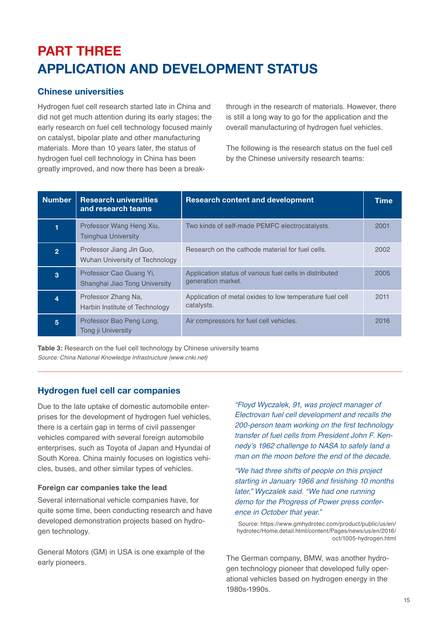# <span id="page-14-0"></span>PART THREE APPLICATION AND DEVELOPMENT STATUS

## Chinese universities

Hydrogen fuel cell research started late in China and did not get much attention during its early stages; the early research on fuel cell technology focused mainly on catalyst, bipolar plate and other manufacturing materials. More than 10 years later, the status of hydrogen fuel cell technology in China has been greatly improved, and now there has been a breakthrough in the research of materials. However, there is still a long way to go for the application and the overall manufacturing of hydrogen fuel vehicles.

The following is the research status on the fuel cell by the Chinese university research teams:

| <b>Number</b>  | <b>Research universities</b><br>and research teams         | <b>Research content and development</b>                                       | <b>Time</b> |
|----------------|------------------------------------------------------------|-------------------------------------------------------------------------------|-------------|
|                | Professor Wang Heng Xiu,<br><b>Tsinghua University</b>     | Two kinds of self-made PEMFC electrocatalysts.                                | 2001        |
| $\overline{2}$ | Professor Jiang Jin Guo,<br>Wuhan University of Technology | Research on the cathode material for fuel cells.                              | 2002        |
| 3              | Professor Cao Guang Yi,<br>Shanghai Jiao Tong University   | Application status of various fuel cells in distributed<br>generation market. | 2005        |
| 4              | Professor Zhang Na.<br>Harbin Institute of Technology      | Application of metal oxides to low temperature fuel cell<br>catalysts.        | 2011        |
| 5              | Professor Bao Peng Long,<br>Tong ji University             | Air compressors for fuel cell vehicles.                                       | 2016        |

**Table 3:** Research on the fuel cell technology by Chinese university teams *Source: China National Knowledge Infrastructure (www.cnki.net)*

## Hydrogen fuel cell car companies

Due to the late uptake of domestic automobile enterprises for the development of hydrogen fuel vehicles, there is a certain gap in terms of civil passenger vehicles compared with several foreign automobile enterprises, such as Toyota of Japan and Hyundai of South Korea. China mainly focuses on logistics vehicles, buses, and other similar types of vehicles.

### **Foreign car companies take the lead**

Several international vehicle companies have, for quite some time, been conducting research and have developed demonstration projects based on hydrogen technology.

General Motors (GM) in USA is one example of the early pioneers.

*"Floyd Wyczalek, 91, was project manager of Electrovan fuel cell development and recalls the*  200-person team working on the first technology *transfer of fuel cells from President John F. Ken*nedy's 1962 challenge to NASA to safely land a *man on the moon before the end of the decade.*

*"We had three shifts of people on this project*  starting in January 1966 and finishing 10 months *later," Wyczalek said. "We had one running demo for the Progress of Power press conference in October that year."* 

Source: https://www.gmhydrotec.com/product/public/us/en/ hydrotec/Home.detail.html/content/Pages/news/us/en/2016/ oct/1005-hydrogen.html

The German company, BMW, was another hydrogen technology pioneer that developed fully operational vehicles based on hydrogen energy in the 1980s-1990s.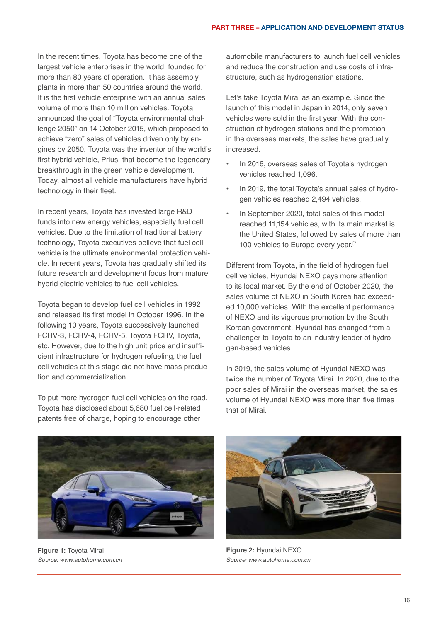In the recent times, Toyota has become one of the largest vehicle enterprises in the world, founded for more than 80 years of operation. It has assembly plants in more than 50 countries around the world. It is the first vehicle enterprise with an annual sales volume of more than 10 million vehicles. Toyota announced the goal of "Toyota environmental challenge 2050" on 14 October 2015, which proposed to achieve "zero" sales of vehicles driven only by engines by 2050. Toyota was the inventor of the world's first hybrid vehicle, Prius, that become the legendary breakthrough in the green vehicle development. Today, almost all vehicle manufacturers have hybrid technology in their fleet.

In recent years, Toyota has invested large R&D funds into new energy vehicles, especially fuel cell vehicles. Due to the limitation of traditional battery technology, Toyota executives believe that fuel cell vehicle is the ultimate environmental protection vehicle. In recent years, Toyota has gradually shifted its future research and development focus from mature hybrid electric vehicles to fuel cell vehicles.

Toyota began to develop fuel cell vehicles in 1992 and released its first model in October 1996. In the following 10 years, Toyota successively launched FCHV-3, FCHV-4, FCHV-5, Toyota FCHV, Toyota, etc. However, due to the high unit price and insufficient infrastructure for hydrogen refueling, the fuel cell vehicles at this stage did not have mass production and commercialization.

To put more hydrogen fuel cell vehicles on the road, Toyota has disclosed about 5,680 fuel cell-related patents free of charge, hoping to encourage other

automobile manufacturers to launch fuel cell vehicles and reduce the construction and use costs of infrastructure, such as hydrogenation stations.

Let's take Toyota Mirai as an example. Since the launch of this model in Japan in 2014, only seven vehicles were sold in the first year. With the construction of hydrogen stations and the promotion in the overseas markets, the sales have gradually increased.

- In 2016, overseas sales of Toyota's hydrogen vehicles reached 1,096.
- In 2019, the total Toyota's annual sales of hydrogen vehicles reached 2,494 vehicles.
- In September 2020, total sales of this model reached 11,154 vehicles, with its main market is the United States, followed by sales of more than 100 vehicles to Europe every year.<sup>[7]</sup>

Different from Toyota, in the field of hydrogen fuel cell vehicles, Hyundai NEXO pays more attention to its local market. By the end of October 2020, the sales volume of NEXO in South Korea had exceeded 10,000 vehicles. With the excellent performance of NEXO and its vigorous promotion by the South Korean government, Hyundai has changed from a challenger to Toyota to an industry leader of hydrogen-based vehicles.

In 2019, the sales volume of Hyundai NEXO was twice the number of Toyota Mirai. In 2020, due to the poor sales of Mirai in the overseas market, the sales volume of Hyundai NEXO was more than five times that of Mirai.



**Figure 1:** Toyota Mirai *Source: www.autohome.com.cn* 



**Figure 2:** Hyundai NEXO *Source: www.autohome.com.cn*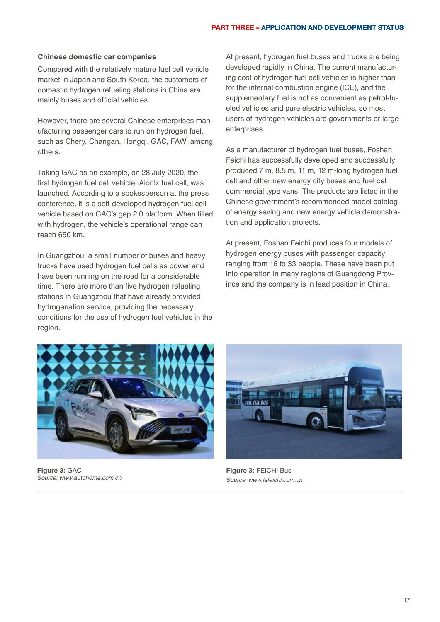#### PART THREE – APPLICATION AND DEVELOPMENT STATUS

#### **Chinese domestic car companies**

Compared with the relatively mature fuel cell vehicle market in Japan and South Korea, the customers of domestic hydrogen refueling stations in China are mainly buses and official vehicles.

However, there are several Chinese enterprises manufacturing passenger cars to run on hydrogen fuel, such as Chery, Changan, Hongqi, GAC, FAW, among others.

Taking GAC as an example, on 28 July 2020, the first hydrogen fuel cell vehicle, Aionlx fuel cell, was launched. According to a spokesperson at the press conference, it is a self-developed hydrogen fuel cell vehicle based on GAC's gep 2.0 platform. When filled with hydrogen, the vehicle's operational range can reach 650 km.

In Guangzhou, a small number of buses and heavy trucks have used hydrogen fuel cells as power and have been running on the road for a considerable time. There are more than five hydrogen refueling stations in Guangzhou that have already provided hydrogenation service, providing the necessary conditions for the use of hydrogen fuel vehicles in the region.

At present, hydrogen fuel buses and trucks are being developed rapidly in China. The current manufacturing cost of hydrogen fuel cell vehicles is higher than for the internal combustion engine (ICE), and the supplementary fuel is not as convenient as petrol-fueled vehicles and pure electric vehicles, so most users of hydrogen vehicles are governments or large enterprises.

As a manufacturer of hydrogen fuel buses, Foshan Feichi has successfully developed and successfully produced 7 m, 8.5 m, 11 m, 12 m-long hydrogen fuel cell and other new energy city buses and fuel cell commercial type vans. The products are listed in the Chinese government's recommended model catalog of energy saving and new energy vehicle demonstration and application projects.

At present, Foshan Feichi produces four models of hydrogen energy buses with passenger capacity ranging from 16 to 33 people. These have been put into operation in many regions of Guangdong Province and the company is in lead position in China.



**Figure 3:** GAC *Source: www.autohome.com.cn*



**Figure 3:** FEICHI Bus *Source: www.fsfeichi.com.cn*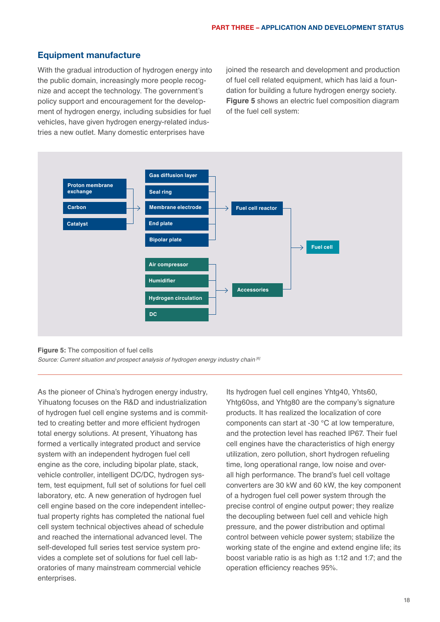## <span id="page-17-0"></span>Equipment manufacture

With the gradual introduction of hydrogen energy into the public domain, increasingly more people recognize and accept the technology. The government's policy support and encouragement for the development of hydrogen energy, including subsidies for fuel vehicles, have given hydrogen energy-related industries a new outlet. Many domestic enterprises have

joined the research and development and production of fuel cell related equipment, which has laid a foundation for building a future hydrogen energy society. **Figure 5** shows an electric fuel composition diagram of the fuel cell system:



#### **Figure 5:** The composition of fuel cells

*Source: Current situation and prospect analysis of hydrogen energy industry chain [6]*

As the pioneer of China's hydrogen energy industry, Yihuatong focuses on the R&D and industrialization of hydrogen fuel cell engine systems and is committed to creating better and more efficient hydrogen total energy solutions. At present, Yihuatong has formed a vertically integrated product and service system with an independent hydrogen fuel cell engine as the core, including bipolar plate, stack, vehicle controller, intelligent DC/DC, hydrogen system, test equipment, full set of solutions for fuel cell laboratory, etc. A new generation of hydrogen fuel cell engine based on the core independent intellectual property rights has completed the national fuel cell system technical objectives ahead of schedule and reached the international advanced level. The self-developed full series test service system provides a complete set of solutions for fuel cell laboratories of many mainstream commercial vehicle enterprises.

Its hydrogen fuel cell engines Yhtg40, Yhts60, Yhtg60ss, and Yhtg80 are the company's signature products. It has realized the localization of core components can start at -30 ℃ at low temperature, and the protection level has reached IP67. Their fuel cell engines have the characteristics of high energy utilization, zero pollution, short hydrogen refueling time, long operational range, low noise and overall high performance. The brand's fuel cell voltage converters are 30 kW and 60 kW, the key component of a hydrogen fuel cell power system through the precise control of engine output power; they realize the decoupling between fuel cell and vehicle high pressure, and the power distribution and optimal control between vehicle power system; stabilize the working state of the engine and extend engine life; its boost variable ratio is as high as 1:12 and 1:7; and the operation efficiency reaches 95%.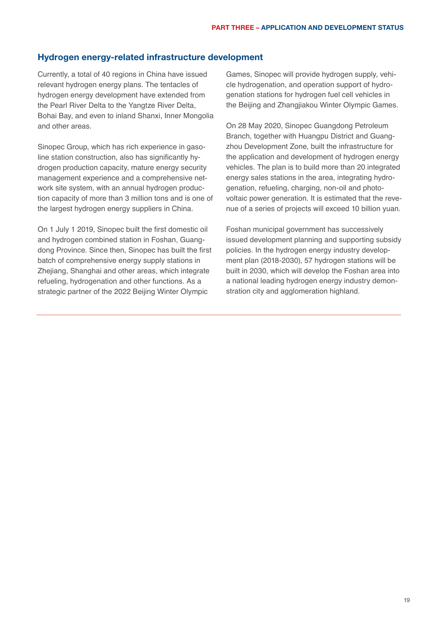### <span id="page-18-0"></span>Hydrogen energy-related infrastructure development

Currently, a total of 40 regions in China have issued relevant hydrogen energy plans. The tentacles of hydrogen energy development have extended from the Pearl River Delta to the Yangtze River Delta, Bohai Bay, and even to inland Shanxi, Inner Mongolia and other areas.

Sinopec Group, which has rich experience in gasoline station construction, also has significantly hydrogen production capacity, mature energy security management experience and a comprehensive network site system, with an annual hydrogen production capacity of more than 3 million tons and is one of the largest hydrogen energy suppliers in China.

On 1 July 1 2019, Sinopec built the first domestic oil and hydrogen combined station in Foshan, Guangdong Province. Since then, Sinopec has built the first batch of comprehensive energy supply stations in Zhejiang, Shanghai and other areas, which integrate refueling, hydrogenation and other functions. As a strategic partner of the 2022 Beijing Winter Olympic

Games, Sinopec will provide hydrogen supply, vehicle hydrogenation, and operation support of hydrogenation stations for hydrogen fuel cell vehicles in the Beijing and Zhangjiakou Winter Olympic Games.

On 28 May 2020, Sinopec Guangdong Petroleum Branch, together with Huangpu District and Guangzhou Development Zone, built the infrastructure for the application and development of hydrogen energy vehicles. The plan is to build more than 20 integrated energy sales stations in the area, integrating hydrogenation, refueling, charging, non-oil and photovoltaic power generation. It is estimated that the revenue of a series of projects will exceed 10 billion yuan.

Foshan municipal government has successively issued development planning and supporting subsidy policies. In the hydrogen energy industry development plan (2018-2030), 57 hydrogen stations will be built in 2030, which will develop the Foshan area into a national leading hydrogen energy industry demonstration city and agglomeration highland.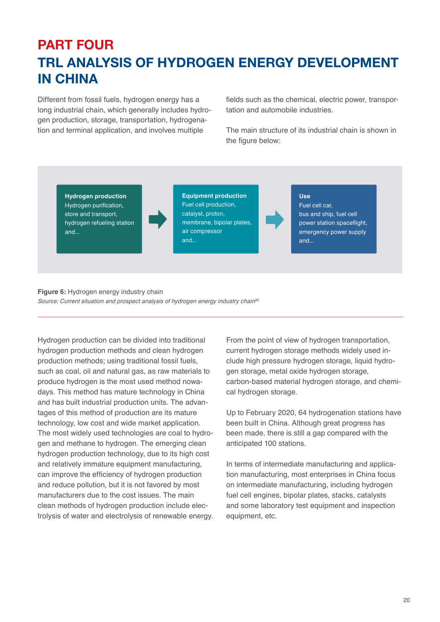## <span id="page-19-0"></span>PART FOUR TRL ANALYSIS OF HYDROGEN ENERGY DEVELOPMENT IN CHINA

Different from fossil fuels, hydrogen energy has a long industrial chain, which generally includes hydrogen production, storage, transportation, hydrogenation and terminal application, and involves multiple

fields such as the chemical, electric power, transportation and automobile industries.

The main structure of its industrial chain is shown in the figure below:

**Hydrogen production** Hydrogen purification, store and transport, hydrogen refueling station and...

**Equipment production** Fuel cell production, catalyst, proton, membrane, bipolar plates, air compressor and...

**Use**

Fuel cell car, bus and ship, fuel cell power station spaceflight, emergency power supply and...

#### **Figure 6:** Hydrogen energy industry chain *Source: Current situation and prospect analysis of hydrogen energy industry chain[6]*

Hydrogen production can be divided into traditional hydrogen production methods and clean hydrogen production methods; using traditional fossil fuels, such as coal, oil and natural gas, as raw materials to produce hydrogen is the most used method nowadays. This method has mature technology in China and has built industrial production units. The advantages of this method of production are its mature technology, low cost and wide market application. The most widely used technologies are coal to hydrogen and methane to hydrogen. The emerging clean hydrogen production technology, due to its high cost and relatively immature equipment manufacturing, can improve the efficiency of hydrogen production and reduce pollution, but it is not favored by most manufacturers due to the cost issues. The main clean methods of hydrogen production include electrolysis of water and electrolysis of renewable energy.

From the point of view of hydrogen transportation, current hydrogen storage methods widely used include high pressure hydrogen storage, liquid hydrogen storage, metal oxide hydrogen storage, carbon-based material hydrogen storage, and chemical hydrogen storage.

Up to February 2020, 64 hydrogenation stations have been built in China. Although great progress has been made, there is still a gap compared with the anticipated 100 stations.

In terms of intermediate manufacturing and application manufacturing, most enterprises in China focus on intermediate manufacturing, including hydrogen fuel cell engines, bipolar plates, stacks, catalysts and some laboratory test equipment and inspection equipment, etc.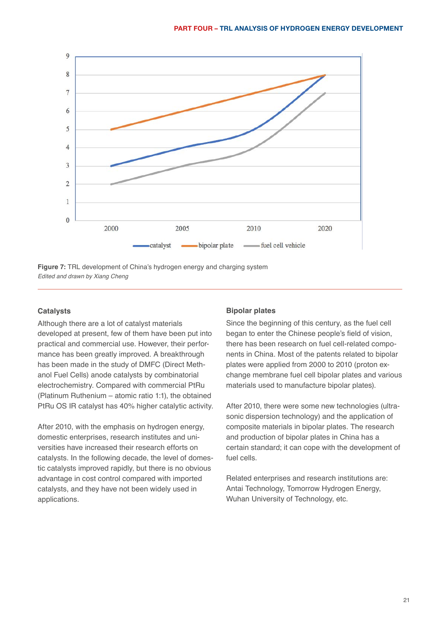



#### **Catalysts**

Although there are a lot of catalyst materials developed at present, few of them have been put into practical and commercial use. However, their performance has been greatly improved. A breakthrough has been made in the study of DMFC (Direct Methanol Fuel Cells) anode catalysts by combinatorial electrochemistry. Compared with commercial PtRu (Platinum Ruthenium – atomic ratio 1:1), the obtained PtRu OS IR catalyst has 40% higher catalytic activity.

After 2010, with the emphasis on hydrogen energy, domestic enterprises, research institutes and universities have increased their research efforts on catalysts. In the following decade, the level of domestic catalysts improved rapidly, but there is no obvious advantage in cost control compared with imported catalysts, and they have not been widely used in applications.

#### **Bipolar plates**

Since the beginning of this century, as the fuel cell began to enter the Chinese people's field of vision, there has been research on fuel cell-related components in China. Most of the patents related to bipolar plates were applied from 2000 to 2010 (proton exchange membrane fuel cell bipolar plates and various materials used to manufacture bipolar plates).

After 2010, there were some new technologies (ultrasonic dispersion technology) and the application of composite materials in bipolar plates. The research and production of bipolar plates in China has a certain standard; it can cope with the development of fuel cells.

Related enterprises and research institutions are: Antai Technology, Tomorrow Hydrogen Energy, Wuhan University of Technology, etc.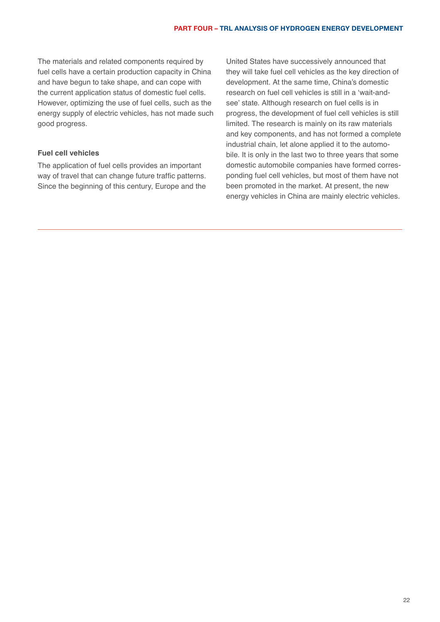The materials and related components required by fuel cells have a certain production capacity in China and have begun to take shape, and can cope with the current application status of domestic fuel cells. However, optimizing the use of fuel cells, such as the energy supply of electric vehicles, has not made such good progress.

### **Fuel cell vehicles**

The application of fuel cells provides an important way of travel that can change future traffic patterns. Since the beginning of this century, Europe and the United States have successively announced that they will take fuel cell vehicles as the key direction of development. At the same time, China's domestic research on fuel cell vehicles is still in a 'wait-andsee' state. Although research on fuel cells is in progress, the development of fuel cell vehicles is still limited. The research is mainly on its raw materials and key components, and has not formed a complete industrial chain, let alone applied it to the automobile. It is only in the last two to three years that some domestic automobile companies have formed corresponding fuel cell vehicles, but most of them have not been promoted in the market. At present, the new energy vehicles in China are mainly electric vehicles.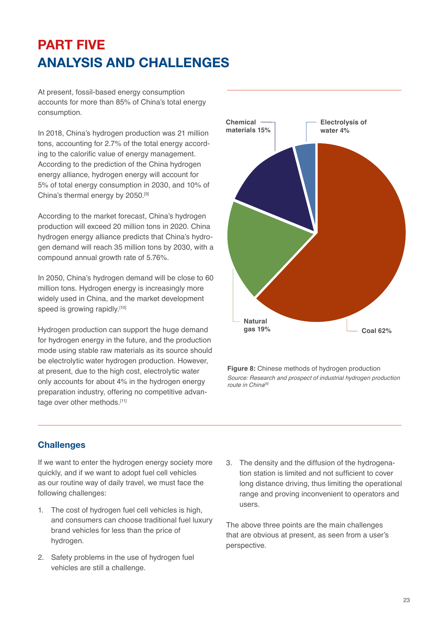# <span id="page-22-0"></span>PART FIVE ANALYSIS AND CHALLENGES

At present, fossil-based energy consumption accounts for more than 85% of China's total energy consumption.

In 2018, China's hydrogen production was 21 million tons, accounting for 2.7% of the total energy according to the calorific value of energy management. According to the prediction of the China hydrogen energy alliance, hydrogen energy will account for 5% of total energy consumption in 2030, and 10% of China's thermal energy by 2050.[9]

According to the market forecast, China's hydrogen production will exceed 20 million tons in 2020. China hydrogen energy alliance predicts that China's hydrogen demand will reach 35 million tons by 2030, with a compound annual growth rate of 5.76%.

In 2050, China's hydrogen demand will be close to 60 million tons. Hydrogen energy is increasingly more widely used in China, and the market development speed is growing rapidly.<sup>[10]</sup>

Hydrogen production can support the huge demand for hydrogen energy in the future, and the production mode using stable raw materials as its source should be electrolytic water hydrogen production. However, at present, due to the high cost, electrolytic water only accounts for about 4% in the hydrogen energy preparation industry, offering no competitive advantage over other methods.<sup>[11]</sup>



**Figure 8:** Chinese methods of hydrogen production *Source: Research and prospect of industrial hydrogen production route in China[9]*

## **Challenges**

If we want to enter the hydrogen energy society more quickly, and if we want to adopt fuel cell vehicles as our routine way of daily travel, we must face the following challenges:

- 1. The cost of hydrogen fuel cell vehicles is high, and consumers can choose traditional fuel luxury brand vehicles for less than the price of hydrogen.
- 2. Safety problems in the use of hydrogen fuel vehicles are still a challenge.
- 3. The density and the diffusion of the hydrogenation station is limited and not sufficient to cover long distance driving, thus limiting the operational range and proving inconvenient to operators and users.

The above three points are the main challenges that are obvious at present, as seen from a user's perspective.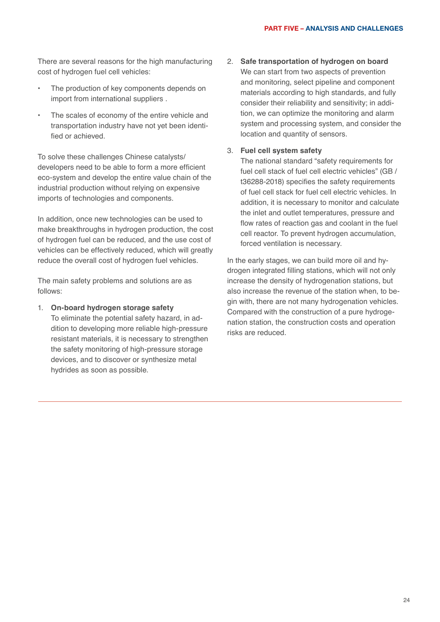There are several reasons for the high manufacturing cost of hydrogen fuel cell vehicles:

- The production of key components depends on import from international suppliers .
- The scales of economy of the entire vehicle and transportation industry have not yet been identified or achieved.

To solve these challenges Chinese catalysts/ developers need to be able to form a more efficient eco-system and develop the entire value chain of the industrial production without relying on expensive imports of technologies and components.

In addition, once new technologies can be used to make breakthroughs in hydrogen production, the cost of hydrogen fuel can be reduced, and the use cost of vehicles can be effectively reduced, which will greatly reduce the overall cost of hydrogen fuel vehicles.

The main safety problems and solutions are as follows:

1. **On-board hydrogen storage safety** 

To eliminate the potential safety hazard, in addition to developing more reliable high-pressure resistant materials, it is necessary to strengthen the safety monitoring of high-pressure storage devices, and to discover or synthesize metal hydrides as soon as possible.

2. **Safe transportation of hydrogen on board** We can start from two aspects of prevention and monitoring, select pipeline and component materials according to high standards, and fully consider their reliability and sensitivity; in addition, we can optimize the monitoring and alarm system and processing system, and consider the location and quantity of sensors.

#### 3. **Fuel cell system safety**

The national standard "safety requirements for fuel cell stack of fuel cell electric vehicles" (GB / t36288-2018) specifies the safety requirements of fuel cell stack for fuel cell electric vehicles. In addition, it is necessary to monitor and calculate the inlet and outlet temperatures, pressure and flow rates of reaction gas and coolant in the fuel cell reactor. To prevent hydrogen accumulation, forced ventilation is necessary.

In the early stages, we can build more oil and hydrogen integrated filling stations, which will not only increase the density of hydrogenation stations, but also increase the revenue of the station when, to begin with, there are not many hydrogenation vehicles. Compared with the construction of a pure hydrogenation station, the construction costs and operation risks are reduced.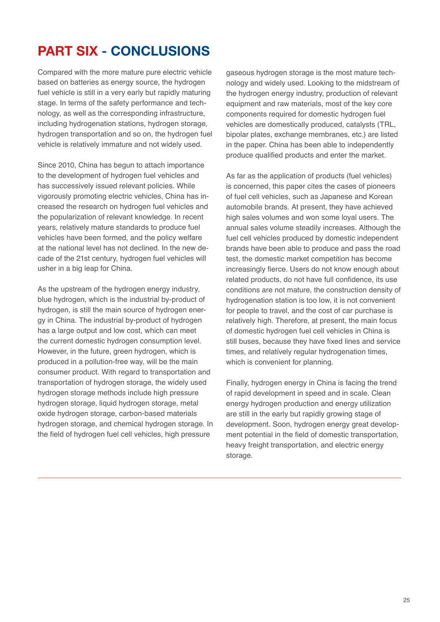## <span id="page-24-0"></span>PART SIX - CONCLUSIONS

Compared with the more mature pure electric vehicle based on batteries as energy source, the hydrogen fuel vehicle is still in a very early but rapidly maturing stage. In terms of the safety performance and technology, as well as the corresponding infrastructure, including hydrogenation stations, hydrogen storage, hydrogen transportation and so on, the hydrogen fuel vehicle is relatively immature and not widely used.

Since 2010, China has begun to attach importance to the development of hydrogen fuel vehicles and has successively issued relevant policies. While vigorously promoting electric vehicles, China has increased the research on hydrogen fuel vehicles and the popularization of relevant knowledge. In recent years, relatively mature standards to produce fuel vehicles have been formed, and the policy welfare at the national level has not declined. In the new decade of the 21st century, hydrogen fuel vehicles will usher in a big leap for China.

As the upstream of the hydrogen energy industry, blue hydrogen, which is the industrial by-product of hydrogen, is still the main source of hydrogen energy in China. The industrial by-product of hydrogen has a large output and low cost, which can meet the current domestic hydrogen consumption level. However, in the future, green hydrogen, which is produced in a pollution-free way, will be the main consumer product. With regard to transportation and transportation of hydrogen storage, the widely used hydrogen storage methods include high pressure hydrogen storage, liquid hydrogen storage, metal oxide hydrogen storage, carbon-based materials hydrogen storage, and chemical hydrogen storage. In the field of hydrogen fuel cell vehicles, high pressure

gaseous hydrogen storage is the most mature technology and widely used. Looking to the midstream of the hydrogen energy industry, production of relevant equipment and raw materials, most of the key core components required for domestic hydrogen fuel vehicles are domestically produced, catalysts (TRL, bipolar plates, exchange membranes, etc.) are listed in the paper. China has been able to independently produce qualified products and enter the market.

As far as the application of products (fuel vehicles) is concerned, this paper cites the cases of pioneers of fuel cell vehicles, such as Japanese and Korean automobile brands. At present, they have achieved high sales volumes and won some loyal users. The annual sales volume steadily increases. Although the fuel cell vehicles produced by domestic independent brands have been able to produce and pass the road test, the domestic market competition has become increasingly fierce. Users do not know enough about related products, do not have full confidence, its use conditions are not mature, the construction density of hydrogenation station is too low, it is not convenient for people to travel, and the cost of car purchase is relatively high. Therefore, at present, the main focus of domestic hydrogen fuel cell vehicles in China is still buses, because they have fixed lines and service times, and relatively regular hydrogenation times, which is convenient for planning.

Finally, hydrogen energy in China is facing the trend of rapid development in speed and in scale. Clean energy hydrogen production and energy utilization are still in the early but rapidly growing stage of development. Soon, hydrogen energy great development potential in the field of domestic transportation, heavy freight transportation, and electric energy storage.